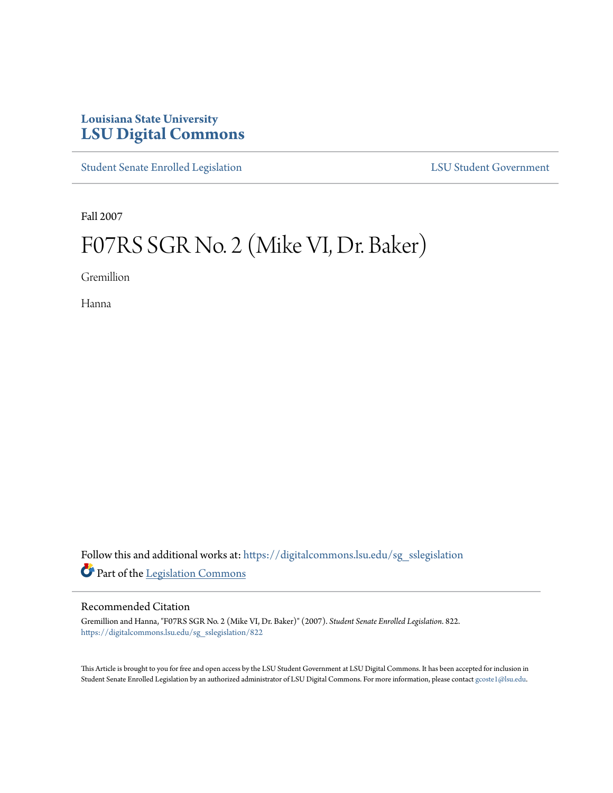## **Louisiana State University [LSU Digital Commons](https://digitalcommons.lsu.edu?utm_source=digitalcommons.lsu.edu%2Fsg_sslegislation%2F822&utm_medium=PDF&utm_campaign=PDFCoverPages)**

[Student Senate Enrolled Legislation](https://digitalcommons.lsu.edu/sg_sslegislation?utm_source=digitalcommons.lsu.edu%2Fsg_sslegislation%2F822&utm_medium=PDF&utm_campaign=PDFCoverPages) [LSU Student Government](https://digitalcommons.lsu.edu/sg?utm_source=digitalcommons.lsu.edu%2Fsg_sslegislation%2F822&utm_medium=PDF&utm_campaign=PDFCoverPages)

Fall 2007

# F07RS SGR No. 2 (Mike VI, Dr. Baker)

Gremillion

Hanna

Follow this and additional works at: [https://digitalcommons.lsu.edu/sg\\_sslegislation](https://digitalcommons.lsu.edu/sg_sslegislation?utm_source=digitalcommons.lsu.edu%2Fsg_sslegislation%2F822&utm_medium=PDF&utm_campaign=PDFCoverPages) Part of the [Legislation Commons](http://network.bepress.com/hgg/discipline/859?utm_source=digitalcommons.lsu.edu%2Fsg_sslegislation%2F822&utm_medium=PDF&utm_campaign=PDFCoverPages)

#### Recommended Citation

Gremillion and Hanna, "F07RS SGR No. 2 (Mike VI, Dr. Baker)" (2007). *Student Senate Enrolled Legislation*. 822. [https://digitalcommons.lsu.edu/sg\\_sslegislation/822](https://digitalcommons.lsu.edu/sg_sslegislation/822?utm_source=digitalcommons.lsu.edu%2Fsg_sslegislation%2F822&utm_medium=PDF&utm_campaign=PDFCoverPages)

This Article is brought to you for free and open access by the LSU Student Government at LSU Digital Commons. It has been accepted for inclusion in Student Senate Enrolled Legislation by an authorized administrator of LSU Digital Commons. For more information, please contact [gcoste1@lsu.edu.](mailto:gcoste1@lsu.edu)